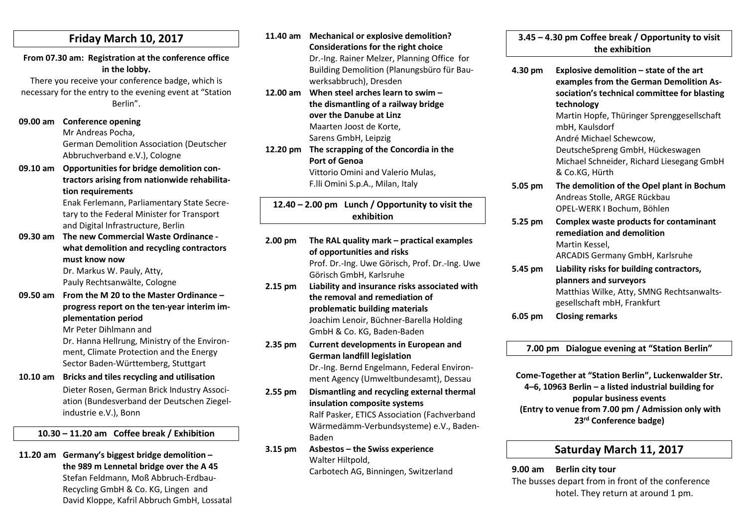#### Friday March 10, 2017

From 07.30 am: Registration at the conference office in the lobby.

There you receive your conference badge, which is necessary for the entry to the evening event at "Station Berlin".

- 09.00 am Conference opening Mr Andreas Pocha, German Demolition Association (Deutscher Abbruchverband e.V.), Cologne
- 09.10 am Opportunities for bridge demolition contractors arising from nationwide rehabilitation requirements

Enak Ferlemann, Parliamentary State Secretary to the Federal Minister for Transport and Digital Infrastructure, Berlin

09.30 am The new Commercial Waste Ordinance what demolition and recycling contractors must know now

Dr. Markus W. Pauly, Atty, Pauly Rechtsanwälte, Cologne

09.50 am From the M 20 to the Master Ordinance – progress report on the ten-year interim implementation period

Mr Peter Dihlmann and

Dr. Hanna Hellrung, Ministry of the Environment, Climate Protection and the Energy Sector Baden-Württemberg, Stuttgart

10.10 am Bricks and tiles recycling and utilisation

Dieter Rosen, German Brick Industry Association (Bundesverband der Deutschen Ziegelindustrie e.V.), Bonn

#### 10.30 – 11.20 am Coffee break / Exhibition

11.20 am Germany's biggest bridge demolition –

the 989 m Lennetal bridge over the A 45 Stefan Feldmann, Moß Abbruch-Erdbau-Recycling GmbH & Co. KG, Lingen and David Kloppe, Kafril Abbruch GmbH, Lossatal

- 11.40 am Mechanical or explosive demolition? Considerations for the right choice Dr.-Ing. Rainer Melzer, Planning Office for Building Demolition (Planungsbüro für Bauwerksabbruch), Dresden
- 12.00 am When steel arches learn to swim the dismantling of a railway bridge over the Danube at Linz Maarten Joost de Korte, Sarens GmbH, Leipzig
- 12.20 pm The scrapping of the Concordia in the Port of Genoa Vittorio Omini and Valerio Mulas,

F.lli Omini S.p.A., Milan, Italy

12.40 – 2.00 pm Lunch / Opportunity to visit the exhibition

- 2.00 pm The RAL quality mark practical examples of opportunities and risks Prof. Dr.-Ing. Uwe Görisch, Prof. Dr.-Ing. Uwe Görisch GmbH, Karlsruhe 2.15 pm Liability and insurance risks associated with the removal and remediation of problematic building materials Joachim Lenoir, Büchner-Barella Holding GmbH & Co. KG, Baden-Baden 2.35 pm Current developments in European and German landfill legislation Dr.-Ing. Bernd Engelmann, Federal Environment Agency (Umweltbundesamt), Dessau
- 2.55 pm Dismantling and recycling external thermal insulation composite systems Ralf Pasker, ETICS Association (Fachverband Wärmedämm-Verbundsysteme) e.V., Baden-Baden
- 3.15 pm Asbestos the Swiss experience Walter Hiltpold, Carbotech AG, Binningen, Switzerland

3.45 – 4.30 pm Coffee break / Opportunity to visit the exhibition

4.30 pm Explosive demolition – state of the art examples from the German Demolition Association's technical committee for blasting technology Martin Hopfe, Thüringer Sprenggesellschaft mbH, Kaulsdorf André Michael Schewcow, DeutscheSpreng GmbH, Hückeswagen Michael Schneider, Richard Liesegang GmbH & Co.KG, Hürth 5.05 pm The demolition of the Opel plant in Bochum Andreas Stolle, ARGE Rückbau OPEL-WERK I Bochum, Böhlen 5.25 pm Complex waste products for contaminant remediation and demolition Martin Kessel, ARCADIS Germany GmbH, Karlsruhe 5.45 pm Liability risks for building contractors, planners and surveyors Matthias Wilke, Atty, SMNG Rechtsanwaltsgesellschaft mbH, Frankfurt

6.05 pm Closing remarks

7.00 pm Dialogue evening at "Station Berlin"

Come-Together at "Station Berlin", Luckenwalder Str. 4–6, 10963 Berlin – a listed industrial building for popular business events (Entry to venue from 7.00 pm / Admission only with 23rd Conference badge)

## Saturday March 11, 2017

9.00 am Berlin city tour The busses depart from in front of the conference hotel. They return at around 1 pm.